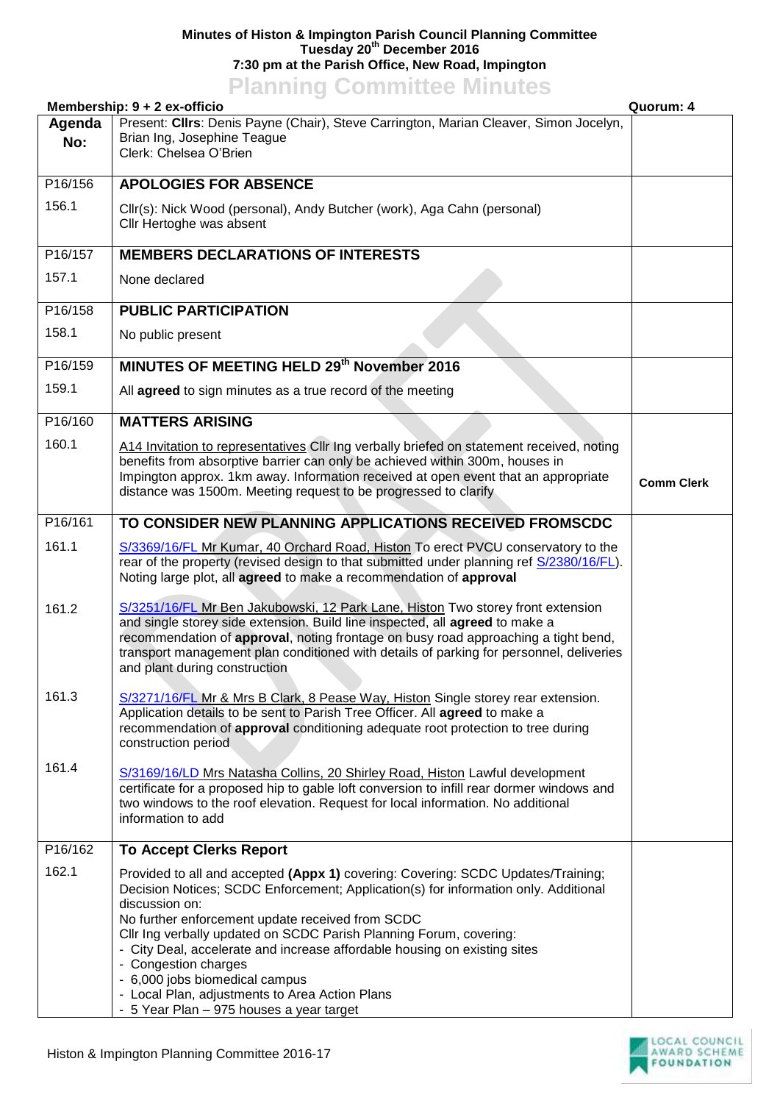## **Minutes of Histon & Impington Parish Council Planning Committee Tuesday 20th December 2016 7:30 pm at the Parish Office, New Road, Impington**

## **Planning Committee Minutes**

|               | Membership: 9 + 2 ex-officio                                                                                                                                                                                                                                                                                                                                                                                                                                                                                                                             | Quorum: 4         |
|---------------|----------------------------------------------------------------------------------------------------------------------------------------------------------------------------------------------------------------------------------------------------------------------------------------------------------------------------------------------------------------------------------------------------------------------------------------------------------------------------------------------------------------------------------------------------------|-------------------|
| Agenda<br>No: | Present: Cllrs: Denis Payne (Chair), Steve Carrington, Marian Cleaver, Simon Jocelyn,<br>Brian Ing, Josephine Teague<br>Clerk: Chelsea O'Brien                                                                                                                                                                                                                                                                                                                                                                                                           |                   |
| P16/156       | <b>APOLOGIES FOR ABSENCE</b>                                                                                                                                                                                                                                                                                                                                                                                                                                                                                                                             |                   |
| 156.1         | Cllr(s): Nick Wood (personal), Andy Butcher (work), Aga Cahn (personal)<br>Cllr Hertoghe was absent                                                                                                                                                                                                                                                                                                                                                                                                                                                      |                   |
| P16/157       | <b>MEMBERS DECLARATIONS OF INTERESTS</b>                                                                                                                                                                                                                                                                                                                                                                                                                                                                                                                 |                   |
| 157.1         | None declared                                                                                                                                                                                                                                                                                                                                                                                                                                                                                                                                            |                   |
| P16/158       | <b>PUBLIC PARTICIPATION</b>                                                                                                                                                                                                                                                                                                                                                                                                                                                                                                                              |                   |
| 158.1         | No public present                                                                                                                                                                                                                                                                                                                                                                                                                                                                                                                                        |                   |
| P16/159       | MINUTES OF MEETING HELD 29th November 2016                                                                                                                                                                                                                                                                                                                                                                                                                                                                                                               |                   |
| 159.1         | All agreed to sign minutes as a true record of the meeting                                                                                                                                                                                                                                                                                                                                                                                                                                                                                               |                   |
| P16/160       | <b>MATTERS ARISING</b>                                                                                                                                                                                                                                                                                                                                                                                                                                                                                                                                   |                   |
| 160.1         | A14 Invitation to representatives CIIr Ing verbally briefed on statement received, noting<br>benefits from absorptive barrier can only be achieved within 300m, houses in<br>Impington approx. 1km away. Information received at open event that an appropriate<br>distance was 1500m. Meeting request to be progressed to clarify                                                                                                                                                                                                                       | <b>Comm Clerk</b> |
| P16/161       | TO CONSIDER NEW PLANNING APPLICATIONS RECEIVED FROMSCDC                                                                                                                                                                                                                                                                                                                                                                                                                                                                                                  |                   |
| 161.1         | S/3369/16/FL Mr Kumar, 40 Orchard Road, Histon To erect PVCU conservatory to the<br>rear of the property (revised design to that submitted under planning ref S/2380/16/FL).<br>Noting large plot, all agreed to make a recommendation of approval                                                                                                                                                                                                                                                                                                       |                   |
| 161.2         | S/3251/16/FL Mr Ben Jakubowski, 12 Park Lane, Histon Two storey front extension<br>and single storey side extension. Build line inspected, all agreed to make a<br>recommendation of approval, noting frontage on busy road approaching a tight bend,<br>transport management plan conditioned with details of parking for personnel, deliveries<br>and plant during construction                                                                                                                                                                        |                   |
| 161.3         | S/3271/16/FL Mr & Mrs B Clark, 8 Pease Way, Histon Single storey rear extension.<br>Application details to be sent to Parish Tree Officer. All agreed to make a<br>recommendation of approval conditioning adequate root protection to tree during<br>construction period                                                                                                                                                                                                                                                                                |                   |
| 161.4         | S/3169/16/LD Mrs Natasha Collins, 20 Shirley Road, Histon Lawful development<br>certificate for a proposed hip to gable loft conversion to infill rear dormer windows and<br>two windows to the roof elevation. Request for local information. No additional<br>information to add                                                                                                                                                                                                                                                                       |                   |
| P16/162       | <b>To Accept Clerks Report</b>                                                                                                                                                                                                                                                                                                                                                                                                                                                                                                                           |                   |
| 162.1         | Provided to all and accepted (Appx 1) covering: Covering: SCDC Updates/Training;<br>Decision Notices; SCDC Enforcement; Application(s) for information only. Additional<br>discussion on:<br>No further enforcement update received from SCDC<br>Cllr Ing verbally updated on SCDC Parish Planning Forum, covering:<br>- City Deal, accelerate and increase affordable housing on existing sites<br>- Congestion charges<br>- 6,000 jobs biomedical campus<br>- Local Plan, adjustments to Area Action Plans<br>- 5 Year Plan - 975 houses a year target |                   |